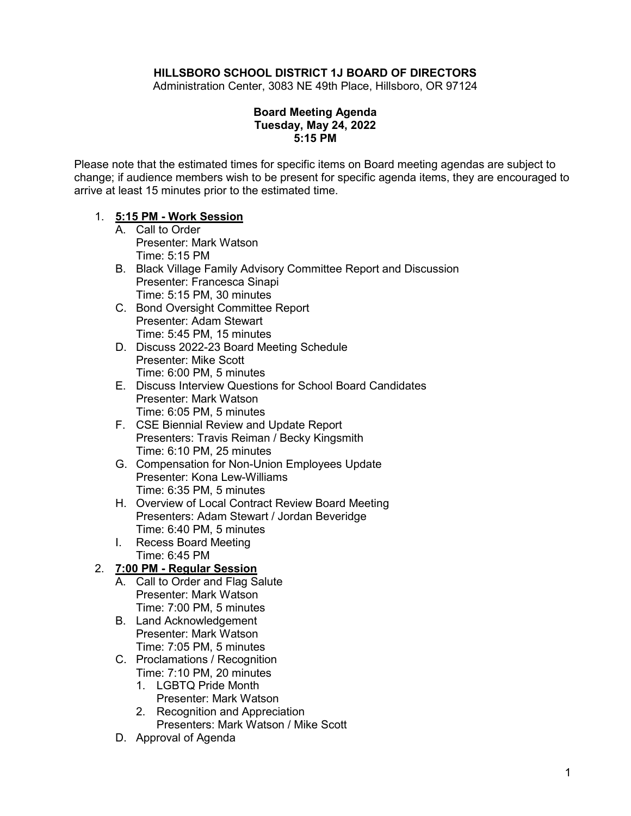## **HILLSBORO SCHOOL DISTRICT 1J BOARD OF DIRECTORS**

Administration Center, 3083 NE 49th Place, Hillsboro, OR 97124

### **Board Meeting Agenda Tuesday, May 24, 2022 5:15 PM**

Please note that the estimated times for specific items on Board meeting agendas are subject to change; if audience members wish to be present for specific agenda items, they are encouraged to arrive at least 15 minutes prior to the estimated time.

#### 1. **5:15 PM - Work Session**

- A. Call to Order Presenter: Mark Watson Time: 5:15 PM
- B. Black Village Family Advisory Committee Report and Discussion Presenter: Francesca Sinapi Time: 5:15 PM, 30 minutes
- C. Bond Oversight Committee Report Presenter: Adam Stewart Time: 5:45 PM, 15 minutes
- D. Discuss 2022-23 Board Meeting Schedule Presenter: Mike Scott Time: 6:00 PM, 5 minutes
- E. Discuss Interview Questions for School Board Candidates Presenter: Mark Watson Time: 6:05 PM, 5 minutes
- F. CSE Biennial Review and Update Report Presenters: Travis Reiman / Becky Kingsmith Time: 6:10 PM, 25 minutes
- G. Compensation for Non-Union Employees Update Presenter: Kona Lew-Williams Time: 6:35 PM, 5 minutes
- H. Overview of Local Contract Review Board Meeting Presenters: Adam Stewart / Jordan Beveridge Time: 6:40 PM, 5 minutes
- I. Recess Board Meeting
- Time: 6:45 PM

# 2. **7:00 PM - Regular Session**

- A. Call to Order and Flag Salute Presenter: Mark Watson Time: 7:00 PM, 5 minutes
- B. Land Acknowledgement Presenter: Mark Watson Time: 7:05 PM, 5 minutes
- C. Proclamations / Recognition Time: 7:10 PM, 20 minutes
	- 1. LGBTQ Pride Month
		- Presenter: Mark Watson
	- 2. Recognition and Appreciation
	- Presenters: Mark Watson / Mike Scott
- D. Approval of Agenda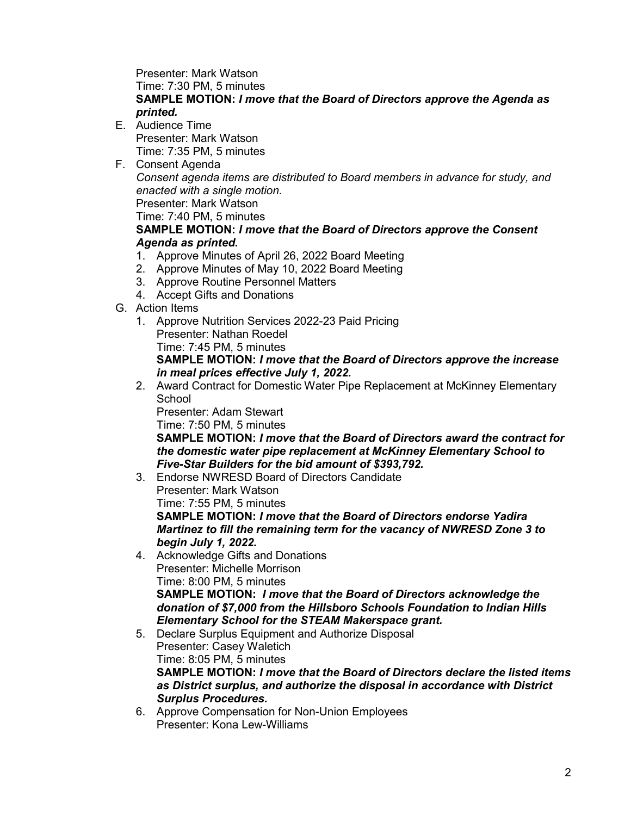Presenter: Mark Watson Time: 7:30 PM, 5 minutes

## **SAMPLE MOTION:** *I move that the Board of Directors approve the Agenda as printed.*

- E. Audience Time Presenter: Mark Watson Time: 7:35 PM, 5 minutes
- F. Consent Agenda *Consent agenda items are distributed to Board members in advance for study, and enacted with a single motion.* Presenter: Mark Watson

Time: 7:40 PM, 5 minutes

## **SAMPLE MOTION:** *I move that the Board of Directors approve the Consent Agenda as printed.*

- 1. Approve Minutes of April 26, 2022 Board Meeting
- 2. Approve Minutes of May 10, 2022 Board Meeting
- 3. Approve Routine Personnel Matters
- 4. Accept Gifts and Donations
- G. Action Items
	- 1. Approve Nutrition Services 2022-23 Paid Pricing Presenter: Nathan Roedel Time: 7:45 PM, 5 minutes **SAMPLE MOTION:** *I move that the Board of Directors approve the increase in meal prices effective July 1, 2022.*
	- 2. Award Contract for Domestic Water Pipe Replacement at McKinney Elementary **School**

Presenter: Adam Stewart

Time: 7:50 PM, 5 minutes

**SAMPLE MOTION:** *I move that the Board of Directors award the contract for the domestic water pipe replacement at McKinney Elementary School to Five-Star Builders for the bid amount of \$393,792.*

3. Endorse NWRESD Board of Directors Candidate

Presenter: Mark Watson

Time: 7:55 PM, 5 minutes

**SAMPLE MOTION:** *I move that the Board of Directors endorse Yadira Martinez to fill the remaining term for the vacancy of NWRESD Zone 3 to begin July 1, 2022.*

- 4. Acknowledge Gifts and Donations Presenter: Michelle Morrison Time: 8:00 PM, 5 minutes **SAMPLE MOTION:** *I move that the Board of Directors acknowledge the donation of \$7,000 from the Hillsboro Schools Foundation to Indian Hills Elementary School for the STEAM Makerspace grant.*
- 5. Declare Surplus Equipment and Authorize Disposal Presenter: Casey Waletich Time: 8:05 PM, 5 minutes **SAMPLE MOTION:** *I move that the Board of Directors declare the listed items as District surplus, and authorize the disposal in accordance with District Surplus Procedures.*
- 6. Approve Compensation for Non-Union Employees Presenter: Kona Lew-Williams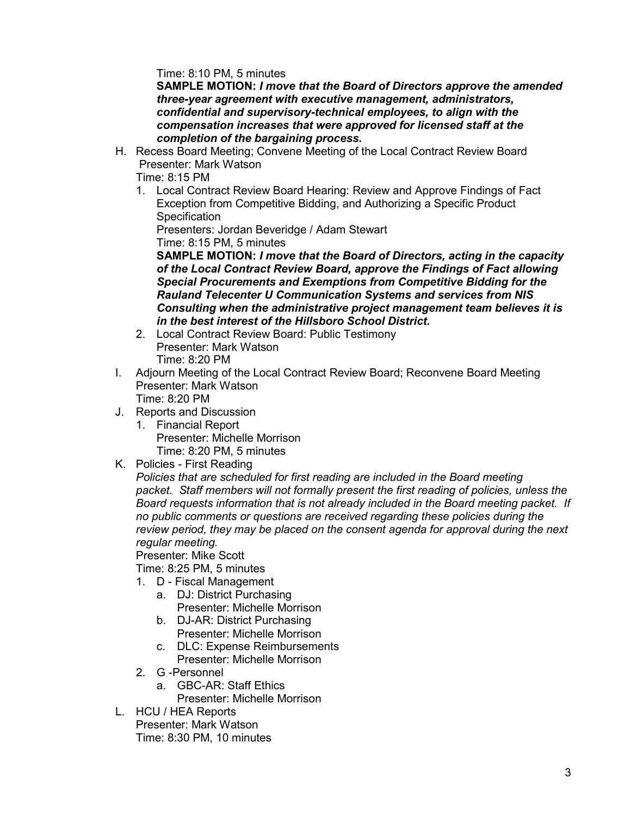Time: 8:10 PM, 5 minutes

**SAMPLE MOTION:** *I move that the Board of Directors approve the amended three-year agreement with executive management, administrators, confidential and supervisory-technical employees, to align with the compensation increases that were approved for licensed staff at the completion of the bargaining process.*

H. Recess Board Meeting; Convene Meeting of the Local Contract Review Board Presenter: Mark Watson

Time: 8:15 PM

1. Local Contract Review Board Hearing: Review and Approve Findings of Fact Exception from Competitive Bidding, and Authorizing a Specific Product **Specification** 

Presenters: Jordan Beveridge / Adam Stewart

Time: 8:15 PM, 5 minutes

**SAMPLE MOTION:** *I move that the Board of Directors, acting in the capacity of the Local Contract Review Board, approve the Findings of Fact allowing Special Procurements and Exemptions from Competitive Bidding for the Rauland Telecenter U Communication Systems and services from NIS Consulting when the administrative project management team believes it is in the best interest of the Hillsboro School District.*

- 2. Local Contract Review Board: Public Testimony Presenter: Mark Watson Time: 8:20 PM
- I. Adjourn Meeting of the Local Contract Review Board; Reconvene Board Meeting Presenter: Mark Watson Time: 8:20 PM
- J. Reports and Discussion
	- 1. Financial Report Presenter: Michelle Morrison Time: 8:20 PM, 5 minutes
- K. Policies First Reading

*Policies that are scheduled for first reading are included in the Board meeting packet. Staff members will not formally present the first reading of policies, unless the Board requests information that is not already included in the Board meeting packet. If no public comments or questions are received regarding these policies during the review period, they may be placed on the consent agenda for approval during the next regular meeting.*

Presenter: Mike Scott

Time: 8:25 PM, 5 minutes

- 1. D Fiscal Management
	- a. DJ: District Purchasing Presenter: Michelle Morrison
	- b. DJ-AR: District Purchasing Presenter: Michelle Morrison
	- c. DLC: Expense Reimbursements Presenter: Michelle Morrison
- 2. G -Personnel
	- a. GBC-AR: Staff Ethics
		- Presenter: Michelle Morrison
- L. HCU / HEA Reports Presenter: Mark Watson Time: 8:30 PM, 10 minutes